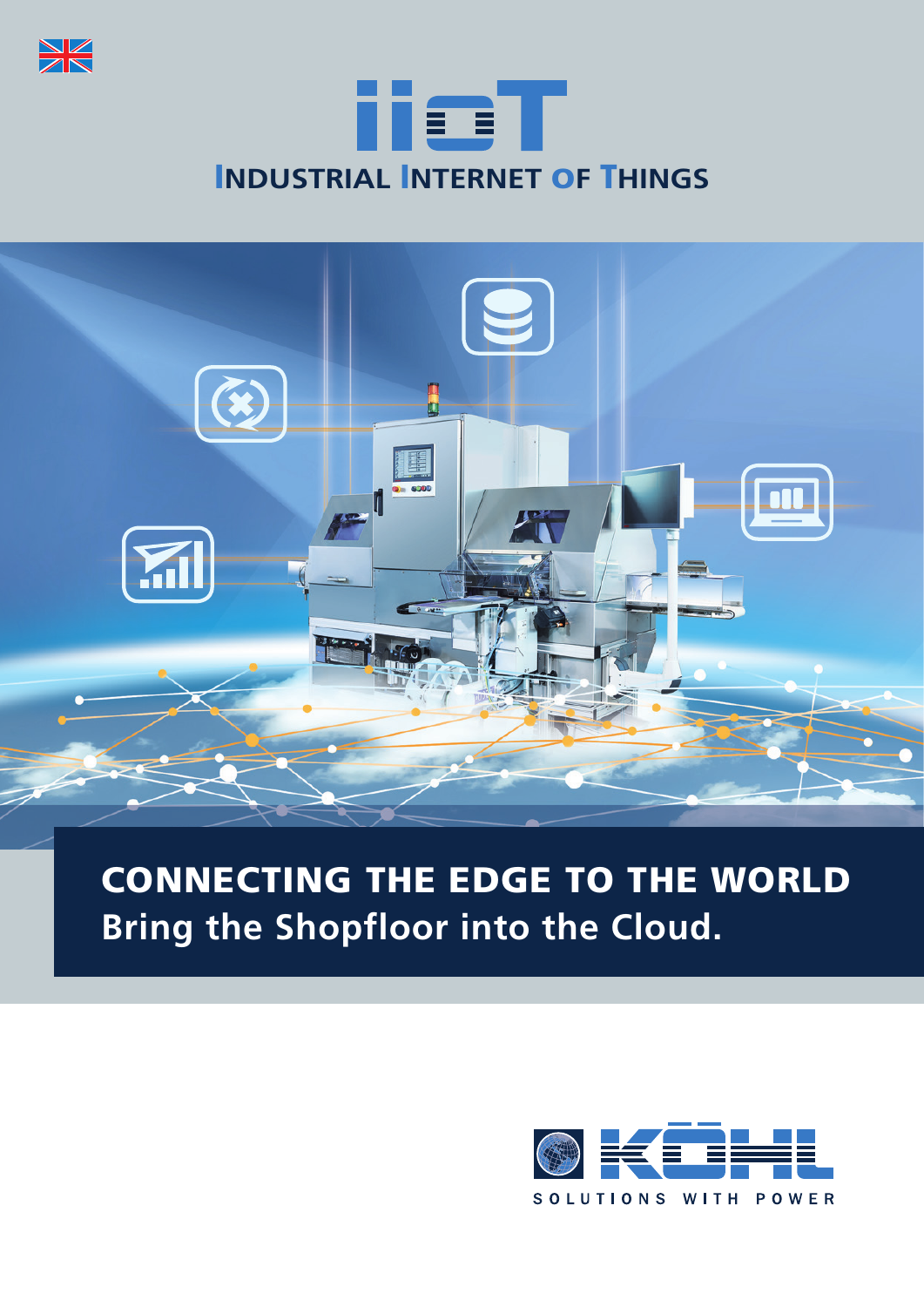





### CONNECTING THE EDGE TO THE WORLD **Bring the Shopfloor into the Cloud.**

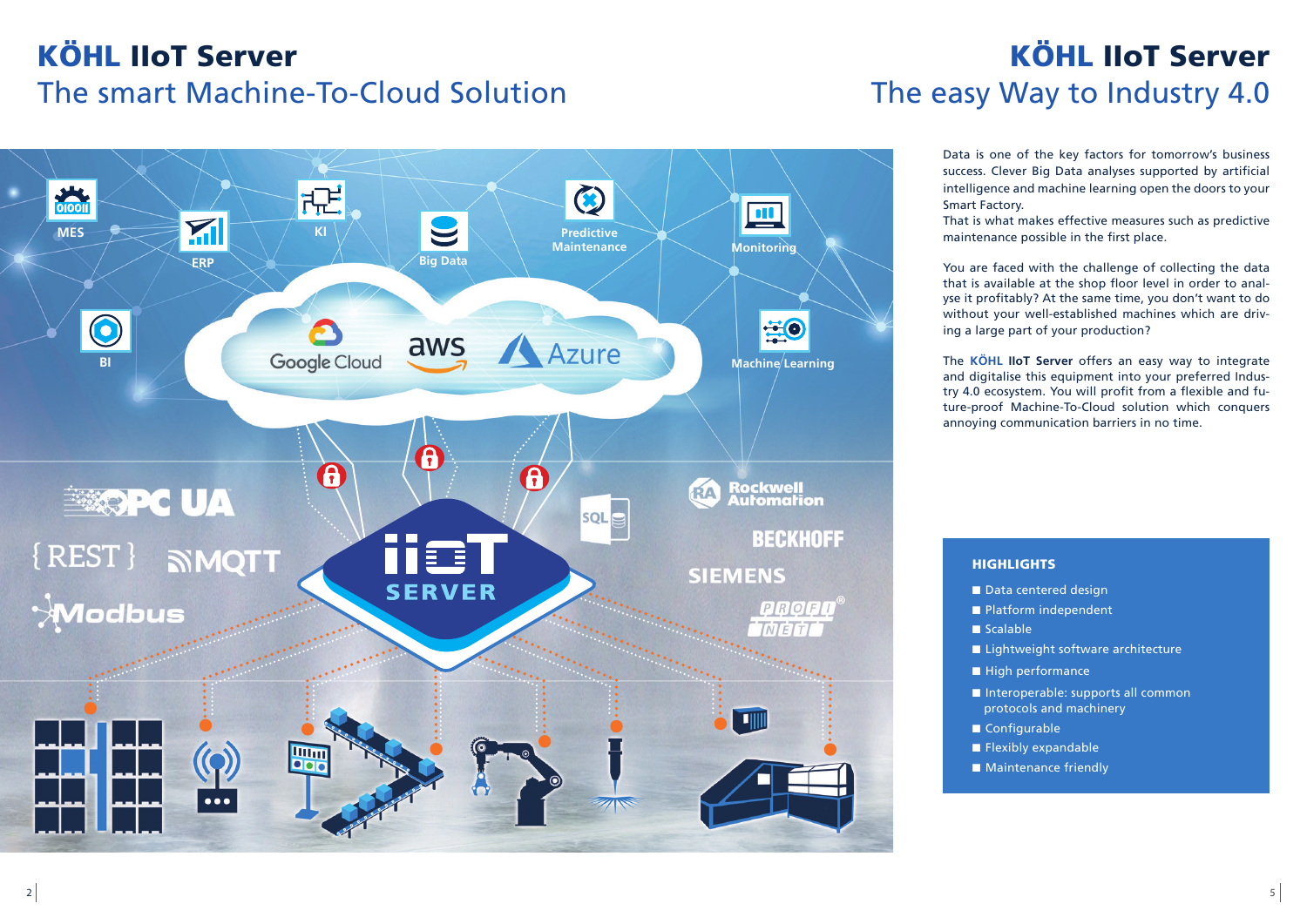# KÖHL IIoT Server The smart Machine-To-Cloud Solution



Data is one of the key factors for tomorrow's business success. Clever Big Data analyses supported by artificial intelligence and machine learning open the doors to your

Smart Factory.

That is what makes effective measures such as predictive maintenance possible in the first place.

You are faced with the challenge of collecting the data that is available at the shop floor level in order to analyse it profitably? At the same time, you don't want to do without your well-established machines which are driving a large part of your production?

The **KÖHL IIoT Server** offers an easy way to integrate and digitalise this equipment into your preferred Industry 4.0 ecosystem. You will profit from a flexible and future-proof Machine-To-Cloud solution which conquers annoying communication barriers in no time.

### **HIGHLIGHTS**

- Data centered design
- Platform independent
- Scalable
- Lightweight software architecture
- High performance
- Interoperable: supports all common
- protocols and machinery
- Configurable
- Flexibly expandable
- Maintenance friendly

## KÖHL IIoT Server The easy Way to Industry 4.0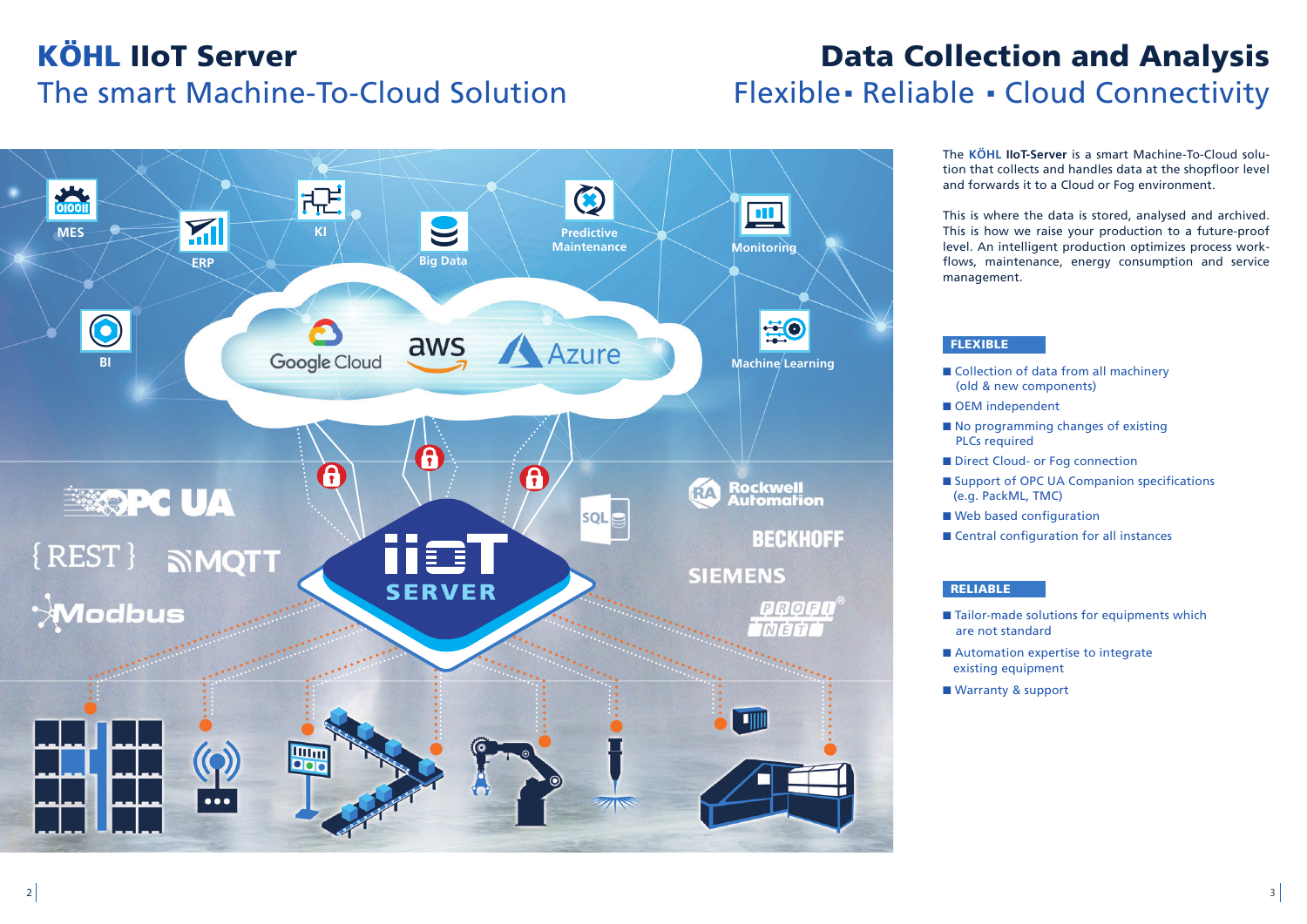## KÖHL IIoT Server The smart Machine-To-Cloud Solution

The **KÖHL IIoT-Server** is a smart Machine-To-Cloud solution that collects and handles data at the shopfloor level and forwards it to a Cloud or Fog environment.

This is where the data is stored, analysed and archived. This is how we raise your production to a future-proof level. An intelligent production optimizes process workflows, maintenance, energy consumption and service

- Collection of data from all machinery
- (old & new components)
- OEM independent
- No programming changes of existing PLCs required
- Direct Cloud- or Fog connection
- Support of OPC UA Companion specifications (e.g. PackML, TMC)
- Web based configuration
- Central configuration for all instances

- Tailor-made solutions for equipments which are not standard
- Automation expertise to integrate existing equipment
	-

## Data Collection and Analysis Flexible**.** Reliable **.** Cloud Connectivity

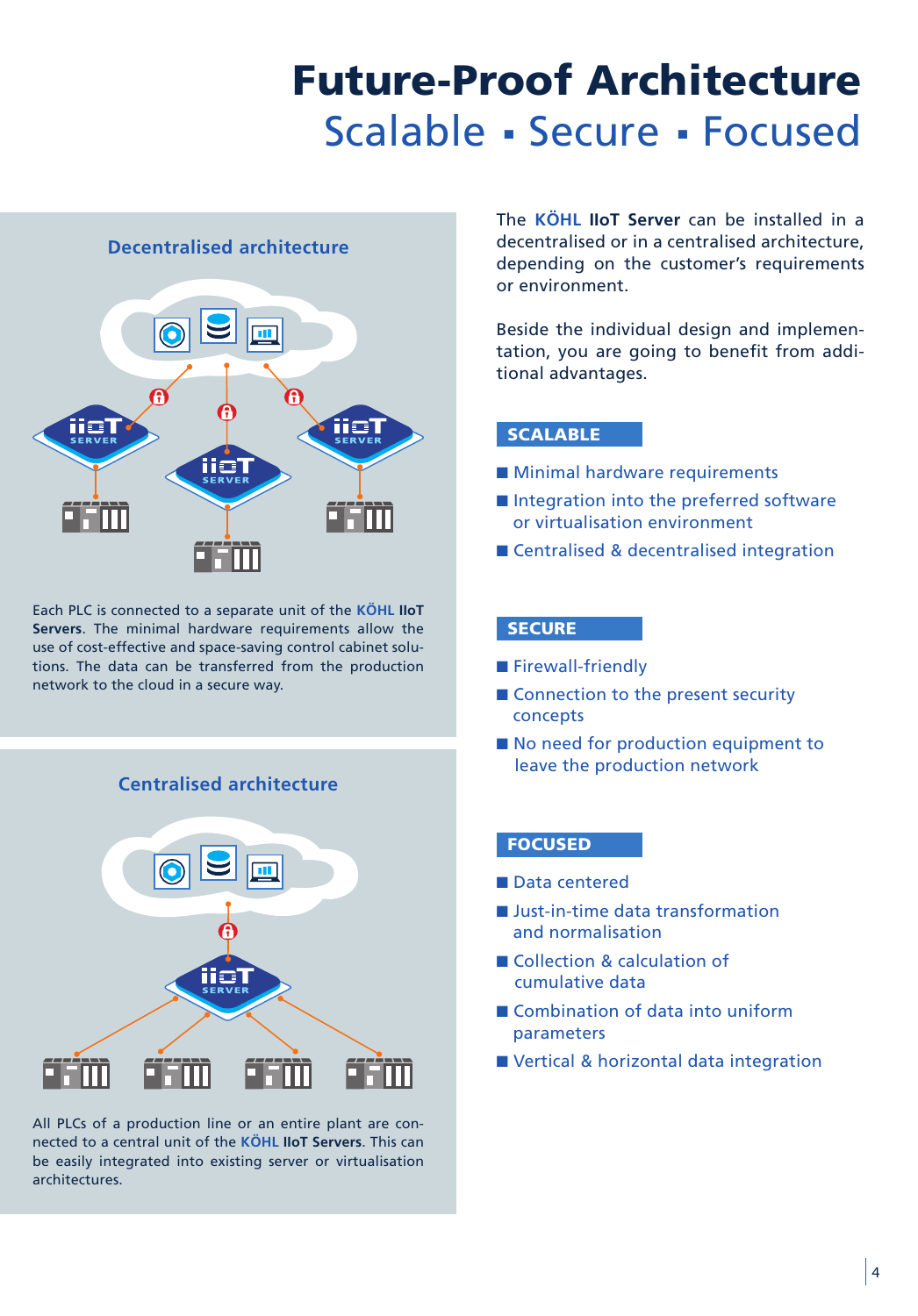### Future-Proof Architecture Scalable **.** Secure **.** Focused

#### **Decentralised architecture**



Each PLC is connected to a separate unit of the **KÖHL IIoT Servers**. The minimal hardware requirements allow the use of cost-effective and space-saving control cabinet solutions. The data can be transferred from the production network to the cloud in a secure way.

#### **Centralised architecture**



All PLCs of a production line or an entire plant are connected to a central unit of the **KÖHL IIoT Servers**. This can be easily integrated into existing server or virtualisation architectures.

The **KÖHL IIoT Server** can be installed in a decentralised or in a centralised architecture, depending on the customer's requirements or environment.

Beside the individual design and implementation, you are going to benefit from additional advantages.

#### **SCALABLE**

- Minimal hardware requirements
- Integration into the preferred software or virtualisation environment
- Centralised & decentralised integration

#### **SECURE**

- Firewall-friendly
- Connection to the present security concepts
- No need for production equipment to leave the production network

#### FOCUSED

- Data centered
- Just-in-time data transformation and normalisation
- Collection & calculation of cumulative data
- Combination of data into uniform parameters
- Vertical & horizontal data integration